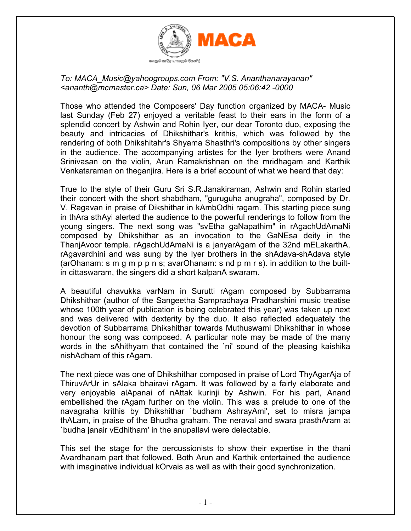

## *To: MACA\_Music@yahoogroups.com From: "V.S. Ananthanarayanan" <ananth@mcmaster.ca> Date: Sun, 06 Mar 2005 05:06:42 -0000*

Those who attended the Composers' Day function organized by MACA- Music last Sunday (Feb 27) enjoyed a veritable feast to their ears in the form of a splendid concert by Ashwin and Rohin Iyer, our dear Toronto duo, exposing the beauty and intricacies of Dhikshithar's krithis, which was followed by the rendering of both Dhikshitahr's Shyama Shasthri's compositions by other singers in the audience. The accompanying artistes for the Iyer brothers were Anand Srinivasan on the violin, Arun Ramakrishnan on the mridhagam and Karthik Venkataraman on theganjira. Here is a brief account of what we heard that day:

True to the style of their Guru Sri S.R.Janakiraman, Ashwin and Rohin started their concert with the short shabdham, "guruguha anugraha", composed by Dr. V. Ragavan in praise of Dikshithar in kAmbOdhi ragam. This starting piece sung in thAra sthAyi alerted the audience to the powerful renderings to follow from the young singers. The next song was "svEtha gaNapathim" in rAgachUdAmaNi composed by Dhikshithar as an invocation to the GaNEsa deity in the ThanjAvoor temple. rAgachUdAmaNi is a janyarAgam of the 32nd mELakarthA, rAgavardhini and was sung by the Iyer brothers in the shAdava-shAdava style (arOhanam: s m g m p p n s; avarOhanam: s nd p m r s). in addition to the builtin cittaswaram, the singers did a short kalpanA swaram.

A beautiful chavukka varNam in Surutti rAgam composed by Subbarrama Dhikshithar (author of the Sangeetha Sampradhaya Pradharshini music treatise whose 100th year of publication is being celebrated this year) was taken up next and was delivered with dexterity by the duo. It also reflected adequately the devotion of Subbarrama Dhikshithar towards Muthuswami Dhikshithar in whose honour the song was composed. A particular note may be made of the many words in the sAhithyam that contained the 'ni' sound of the pleasing kaishika nishAdham of this rAgam.

The next piece was one of Dhikshithar composed in praise of Lord ThyAgarAja of ThiruvArUr in sAlaka bhairavi rAgam. It was followed by a fairly elaborate and very enjoyable alApanai of nAttak kurinji by Ashwin. For his part, Anand embellished the rAgam further on the violin. This was a prelude to one of the navagraha krithis by Dhikshithar `budham AshrayAmi', set to misra jampa thALam, in praise of the Bhudha graham. The neraval and swara prasthAram at `budha janair vEdhitham' in the anupallavi were delectable.

This set the stage for the percussionists to show their expertise in the thani Avardhanam part that followed. Both Arun and Karthik entertained the audience with imaginative individual kOrvais as well as with their good synchronization.